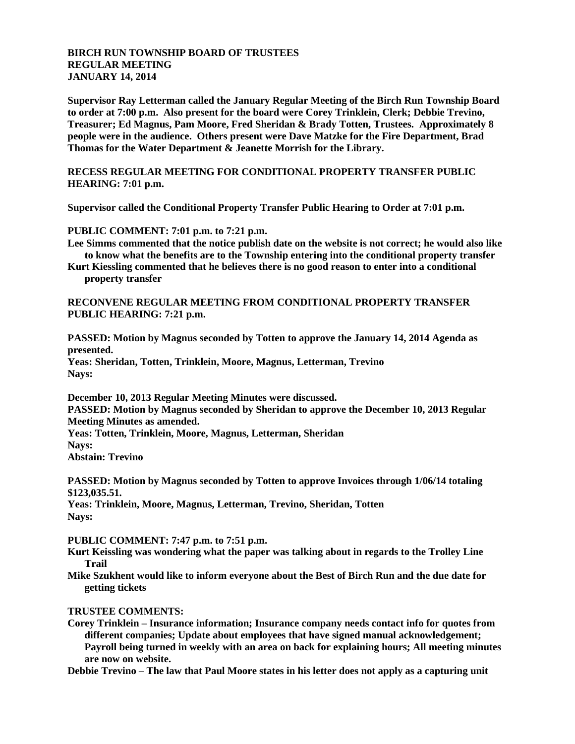## **BIRCH RUN TOWNSHIP BOARD OF TRUSTEES REGULAR MEETING JANUARY 14, 2014**

**Supervisor Ray Letterman called the January Regular Meeting of the Birch Run Township Board to order at 7:00 p.m. Also present for the board were Corey Trinklein, Clerk; Debbie Trevino, Treasurer; Ed Magnus, Pam Moore, Fred Sheridan & Brady Totten, Trustees. Approximately 8 people were in the audience. Others present were Dave Matzke for the Fire Department, Brad Thomas for the Water Department & Jeanette Morrish for the Library.**

**RECESS REGULAR MEETING FOR CONDITIONAL PROPERTY TRANSFER PUBLIC HEARING: 7:01 p.m.**

**Supervisor called the Conditional Property Transfer Public Hearing to Order at 7:01 p.m.**

**PUBLIC COMMENT: 7:01 p.m. to 7:21 p.m.**

- **Lee Simms commented that the notice publish date on the website is not correct; he would also like to know what the benefits are to the Township entering into the conditional property transfer**
- **Kurt Kiessling commented that he believes there is no good reason to enter into a conditional property transfer**

## **RECONVENE REGULAR MEETING FROM CONDITIONAL PROPERTY TRANSFER PUBLIC HEARING: 7:21 p.m.**

**PASSED: Motion by Magnus seconded by Totten to approve the January 14, 2014 Agenda as presented.**

**Yeas: Sheridan, Totten, Trinklein, Moore, Magnus, Letterman, Trevino Nays:**

**December 10, 2013 Regular Meeting Minutes were discussed. PASSED: Motion by Magnus seconded by Sheridan to approve the December 10, 2013 Regular Meeting Minutes as amended. Yeas: Totten, Trinklein, Moore, Magnus, Letterman, Sheridan Nays: Abstain: Trevino**

**PASSED: Motion by Magnus seconded by Totten to approve Invoices through 1/06/14 totaling \$123,035.51.**

**Yeas: Trinklein, Moore, Magnus, Letterman, Trevino, Sheridan, Totten Nays:**

**PUBLIC COMMENT: 7:47 p.m. to 7:51 p.m.**

- **Kurt Keissling was wondering what the paper was talking about in regards to the Trolley Line Trail**
- **Mike Szukhent would like to inform everyone about the Best of Birch Run and the due date for getting tickets**

## **TRUSTEE COMMENTS:**

**Corey Trinklein – Insurance information; Insurance company needs contact info for quotes from different companies; Update about employees that have signed manual acknowledgement; Payroll being turned in weekly with an area on back for explaining hours; All meeting minutes are now on website.**

**Debbie Trevino – The law that Paul Moore states in his letter does not apply as a capturing unit**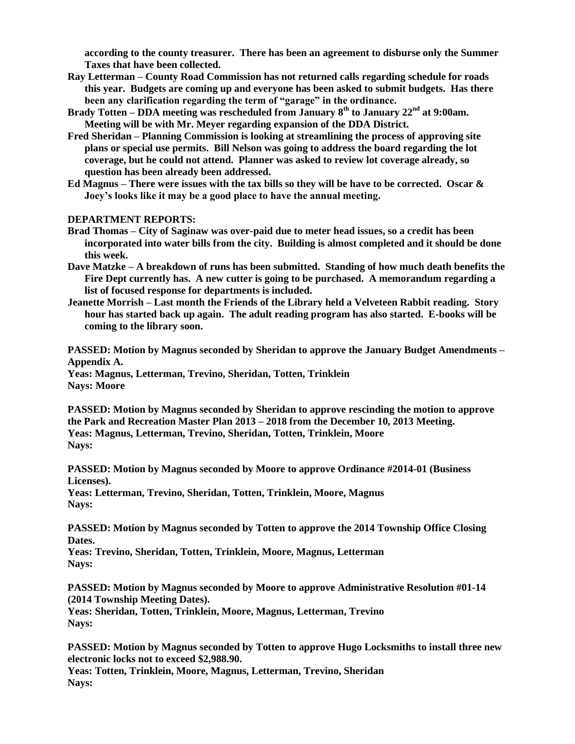**according to the county treasurer. There has been an agreement to disburse only the Summer Taxes that have been collected.**

- **Ray Letterman – County Road Commission has not returned calls regarding schedule for roads this year. Budgets are coming up and everyone has been asked to submit budgets. Has there been any clarification regarding the term of "garage" in the ordinance.**
- **Brady Totten – DDA meeting was rescheduled from January 8th to January 22nd at 9:00am. Meeting will be with Mr. Meyer regarding expansion of the DDA District.**
- **Fred Sheridan – Planning Commission is looking at streamlining the process of approving site plans or special use permits. Bill Nelson was going to address the board regarding the lot coverage, but he could not attend. Planner was asked to review lot coverage already, so question has been already been addressed.**
- **Ed Magnus – There were issues with the tax bills so they will be have to be corrected. Oscar & Joey's looks like it may be a good place to have the annual meeting.**

## **DEPARTMENT REPORTS:**

- **Brad Thomas – City of Saginaw was over-paid due to meter head issues, so a credit has been incorporated into water bills from the city. Building is almost completed and it should be done this week.**
- **Dave Matzke – A breakdown of runs has been submitted. Standing of how much death benefits the Fire Dept currently has. A new cutter is going to be purchased. A memorandum regarding a list of focused response for departments is included.**
- **Jeanette Morrish – Last month the Friends of the Library held a Velveteen Rabbit reading. Story hour has started back up again. The adult reading program has also started. E-books will be coming to the library soon.**

**PASSED: Motion by Magnus seconded by Sheridan to approve the January Budget Amendments – Appendix A.**

**Yeas: Magnus, Letterman, Trevino, Sheridan, Totten, Trinklein Nays: Moore**

**PASSED: Motion by Magnus seconded by Sheridan to approve rescinding the motion to approve the Park and Recreation Master Plan 2013 – 2018 from the December 10, 2013 Meeting. Yeas: Magnus, Letterman, Trevino, Sheridan, Totten, Trinklein, Moore Nays:**

**PASSED: Motion by Magnus seconded by Moore to approve Ordinance #2014-01 (Business Licenses).**

**Yeas: Letterman, Trevino, Sheridan, Totten, Trinklein, Moore, Magnus Nays:**

**PASSED: Motion by Magnus seconded by Totten to approve the 2014 Township Office Closing Dates.**

**Yeas: Trevino, Sheridan, Totten, Trinklein, Moore, Magnus, Letterman Nays:**

**PASSED: Motion by Magnus seconded by Moore to approve Administrative Resolution #01-14 (2014 Township Meeting Dates).**

**Yeas: Sheridan, Totten, Trinklein, Moore, Magnus, Letterman, Trevino Nays:**

**PASSED: Motion by Magnus seconded by Totten to approve Hugo Locksmiths to install three new electronic locks not to exceed \$2,988.90.**

**Yeas: Totten, Trinklein, Moore, Magnus, Letterman, Trevino, Sheridan Nays:**